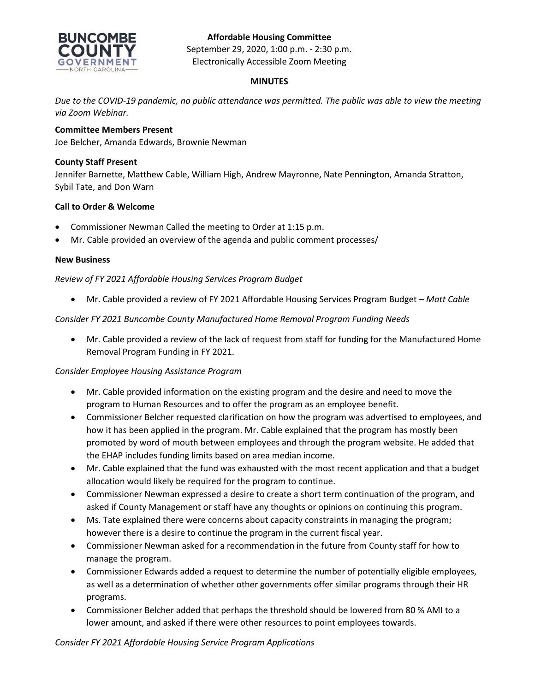# **Affordable Housing Committee**



September 29, 2020, 1:00 p.m. - 2:30 p.m. Electronically Accessible Zoom Meeting

## **MINUTES**

*Due to the COVID-19 pandemic, no public attendance was permitted. The public was able to view the meeting via Zoom Webinar.*

# **Committee Members Present**

Joe Belcher, Amanda Edwards, Brownie Newman

### **County Staff Present**

Jennifer Barnette, Matthew Cable, William High, Andrew Mayronne, Nate Pennington, Amanda Stratton, Sybil Tate, and Don Warn

## **Call to Order & Welcome**

- Commissioner Newman Called the meeting to Order at 1:15 p.m.
- Mr. Cable provided an overview of the agenda and public comment processes/

#### **New Business**

*Review of FY 2021 Affordable Housing Services Program Budget*

• Mr. Cable provided a review of FY 2021 Affordable Housing Services Program Budget – *Matt Cable*

*Consider FY 2021 Buncombe County Manufactured Home Removal Program Funding Needs*

• Mr. Cable provided a review of the lack of request from staff for funding for the Manufactured Home Removal Program Funding in FY 2021.

### *Consider Employee Housing Assistance Program*

- Mr. Cable provided information on the existing program and the desire and need to move the program to Human Resources and to offer the program as an employee benefit.
- Commissioner Belcher requested clarification on how the program was advertised to employees, and how it has been applied in the program. Mr. Cable explained that the program has mostly been promoted by word of mouth between employees and through the program website. He added that the EHAP includes funding limits based on area median income.
- Mr. Cable explained that the fund was exhausted with the most recent application and that a budget allocation would likely be required for the program to continue.
- Commissioner Newman expressed a desire to create a short term continuation of the program, and asked if County Management or staff have any thoughts or opinions on continuing this program.
- Ms. Tate explained there were concerns about capacity constraints in managing the program; however there is a desire to continue the program in the current fiscal year.
- Commissioner Newman asked for a recommendation in the future from County staff for how to manage the program.
- Commissioner Edwards added a request to determine the number of potentially eligible employees, as well as a determination of whether other governments offer similar programs through their HR programs.
- Commissioner Belcher added that perhaps the threshold should be lowered from 80 % AMI to a lower amount, and asked if there were other resources to point employees towards.

*Consider FY 2021 Affordable Housing Service Program Applications*